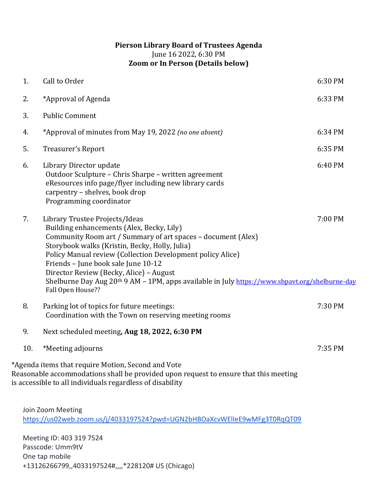## **Pierson Library Board of Trustees Agenda** June 16 2022, 6:30 PM **Zoom or In Person (Details below)**

| 1.                                                                                             | Call to Order                                                                                                                                                                                                                                                                                                                                                                                                                                                                    | 6:30 PM |
|------------------------------------------------------------------------------------------------|----------------------------------------------------------------------------------------------------------------------------------------------------------------------------------------------------------------------------------------------------------------------------------------------------------------------------------------------------------------------------------------------------------------------------------------------------------------------------------|---------|
| 2.                                                                                             | *Approval of Agenda                                                                                                                                                                                                                                                                                                                                                                                                                                                              | 6:33 PM |
| 3.                                                                                             | <b>Public Comment</b>                                                                                                                                                                                                                                                                                                                                                                                                                                                            |         |
| 4.                                                                                             | *Approval of minutes from May 19, 2022 (no one absent)                                                                                                                                                                                                                                                                                                                                                                                                                           | 6:34 PM |
| 5.                                                                                             | Treasurer's Report                                                                                                                                                                                                                                                                                                                                                                                                                                                               | 6:35 PM |
| 6.                                                                                             | Library Director update<br>Outdoor Sculpture - Chris Sharpe - written agreement<br>eResources info page/flyer including new library cards<br>carpentry - shelves, book drop<br>Programming coordinator                                                                                                                                                                                                                                                                           | 6:40 PM |
| 7.                                                                                             | Library Trustee Projects/Ideas<br>Building enhancements (Alex, Becky, Lily)<br>Community Room art / Summary of art spaces - document (Alex)<br>Storybook walks (Kristin, Becky, Holly, Julia)<br>Policy Manual review (Collection Development policy Alice)<br>Friends - June book sale June 10-12<br>Director Review (Becky, Alice) - August<br>Shelburne Day Aug 20 <sup>th</sup> 9 AM - 1PM, apps available in July https://www.sbpayt.org/shelburne-day<br>Fall Open House?? | 7:00 PM |
| 8.                                                                                             | Parking lot of topics for future meetings:<br>Coordination with the Town on reserving meeting rooms                                                                                                                                                                                                                                                                                                                                                                              | 7:30 PM |
| 9.                                                                                             | Next scheduled meeting, Aug 18, 2022, 6:30 PM                                                                                                                                                                                                                                                                                                                                                                                                                                    |         |
| 10.                                                                                            | *Meeting adjourns                                                                                                                                                                                                                                                                                                                                                                                                                                                                | 7:35 PM |
|                                                                                                | *Agenda items that require Motion, Second and Vote<br>Reasonable accommodations shall be provided upon request to ensure that this meeting<br>is accessible to all individuals regardless of disability                                                                                                                                                                                                                                                                          |         |
| Join Zoom Meeting<br>https://us02web.zoom.us/j/4033197524?pwd=UGN2bHBOaXcvWElleE9wMFg3T0RqQT09 |                                                                                                                                                                                                                                                                                                                                                                                                                                                                                  |         |

Meeting ID: 403 319 7524 Passcode: Umm9tV One tap mobile +13126266799,,4033197524#,,,,\*228120# US (Chicago)